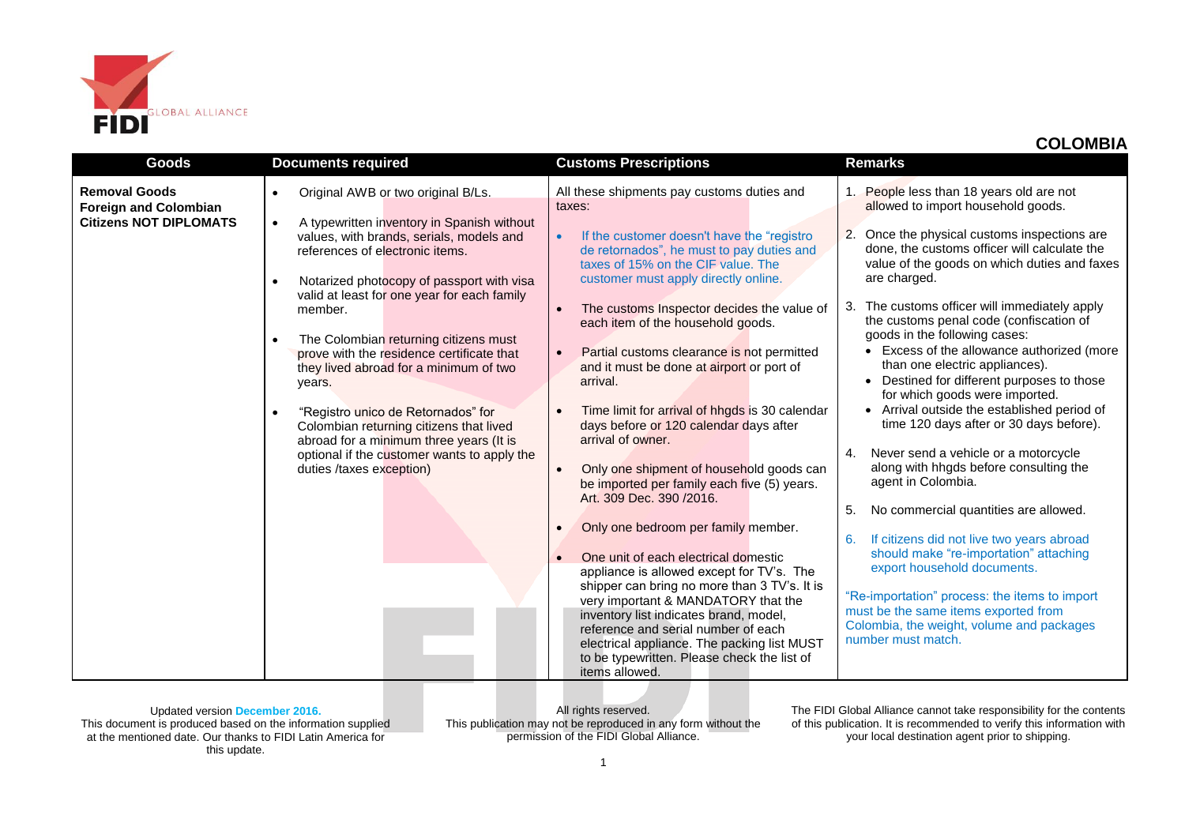

| <b>Goods</b>                                                                          | <b>Documents required</b>                                                                                                                                                                                                                                                                                                                                                                                                                                                                                                                                                                                                                                                                | <b>Customs Prescriptions</b>                                                                                                                                                                                                                                                                                                                                                                                                                                                                                                                                                                                                                                                                                                                                                                                                                                                                                                                                                                                                                                                                                                 | <b>Remarks</b>                                                                                                                                                                                                                                                                                                                                                                                                                                                                                                                                                                                                                                                                                                                                                                                                                                                                                                                                                                                                                                                                                                   |
|---------------------------------------------------------------------------------------|------------------------------------------------------------------------------------------------------------------------------------------------------------------------------------------------------------------------------------------------------------------------------------------------------------------------------------------------------------------------------------------------------------------------------------------------------------------------------------------------------------------------------------------------------------------------------------------------------------------------------------------------------------------------------------------|------------------------------------------------------------------------------------------------------------------------------------------------------------------------------------------------------------------------------------------------------------------------------------------------------------------------------------------------------------------------------------------------------------------------------------------------------------------------------------------------------------------------------------------------------------------------------------------------------------------------------------------------------------------------------------------------------------------------------------------------------------------------------------------------------------------------------------------------------------------------------------------------------------------------------------------------------------------------------------------------------------------------------------------------------------------------------------------------------------------------------|------------------------------------------------------------------------------------------------------------------------------------------------------------------------------------------------------------------------------------------------------------------------------------------------------------------------------------------------------------------------------------------------------------------------------------------------------------------------------------------------------------------------------------------------------------------------------------------------------------------------------------------------------------------------------------------------------------------------------------------------------------------------------------------------------------------------------------------------------------------------------------------------------------------------------------------------------------------------------------------------------------------------------------------------------------------------------------------------------------------|
| <b>Removal Goods</b><br><b>Foreign and Colombian</b><br><b>Citizens NOT DIPLOMATS</b> | Original AWB or two original B/Ls.<br>$\bullet$<br>A typewritten inventory in Spanish without<br>$\bullet$<br>values, with brands, serials, models and<br>references of electronic items.<br>Notarized photocopy of passport with visa<br>$\bullet$<br>valid at least for one year for each family<br>member.<br>The Colombian returning citizens must<br>$\bullet$<br>prove with the residence certificate that<br>they lived abroad for a minimum of two<br>years.<br>"Registro unico de Retornados" for<br>$\bullet$<br>Colombian returning citizens that lived<br>abroad for a minimum three years (It is<br>optional if the customer wants to apply the<br>duties /taxes exception) | All these shipments pay customs duties and<br>taxes:<br>If the customer doesn't have the "registro"<br>de retornados", he must to pay duties and<br>taxes of 15% on the CIF value. The<br>customer must apply directly online.<br>The customs Inspector decides the value of<br>$\bullet$<br>each item of the household goods.<br>Partial customs clearance is not permitted<br>and it must be done at airport or port of<br>arrival.<br>Time limit for arrival of hhgds is 30 calendar<br>days before or 120 calendar days after<br>arrival of owner.<br>Only one shipment of household goods can<br>$\bullet$<br>be imported per family each five (5) years.<br>Art. 309 Dec. 390 / 2016.<br>Only one bedroom per family member.<br>$\bullet$<br>One unit of each electrical domestic<br>appliance is allowed except for TV's. The<br>shipper can bring no more than 3 TV's. It is<br>very important & MANDATORY that the<br>inventory list indicates brand, model,<br>reference and serial number of each<br>electrical appliance. The packing list MUST<br>to be typewritten. Please check the list of<br>items allowed. | People less than 18 years old are not<br>$1_{-}$<br>allowed to import household goods.<br>Once the physical customs inspections are<br>2.<br>done, the customs officer will calculate the<br>value of the goods on which duties and faxes<br>are charged.<br>3. The customs officer will immediately apply<br>the customs penal code (confiscation of<br>goods in the following cases:<br>• Excess of the allowance authorized (more<br>than one electric appliances).<br>Destined for different purposes to those<br>$\bullet$<br>for which goods were imported.<br>• Arrival outside the established period of<br>time 120 days after or 30 days before).<br>Never send a vehicle or a motorcycle<br>4.<br>along with hhgds before consulting the<br>agent in Colombia.<br>No commercial quantities are allowed.<br>5.<br>If citizens did not live two years abroad<br>6.<br>should make "re-importation" attaching<br>export household documents.<br>"Re-importation" process: the items to import<br>must be the same items exported from<br>Colombia, the weight, volume and packages<br>number must match. |

Updated version **December 2016.** This document is produced based on the information supplied at the mentioned date. Our thanks to FIDI Latin America for this update.

All rights reserved. This publication may not be reproduced in any form without the permission of the FIDI Global Alliance.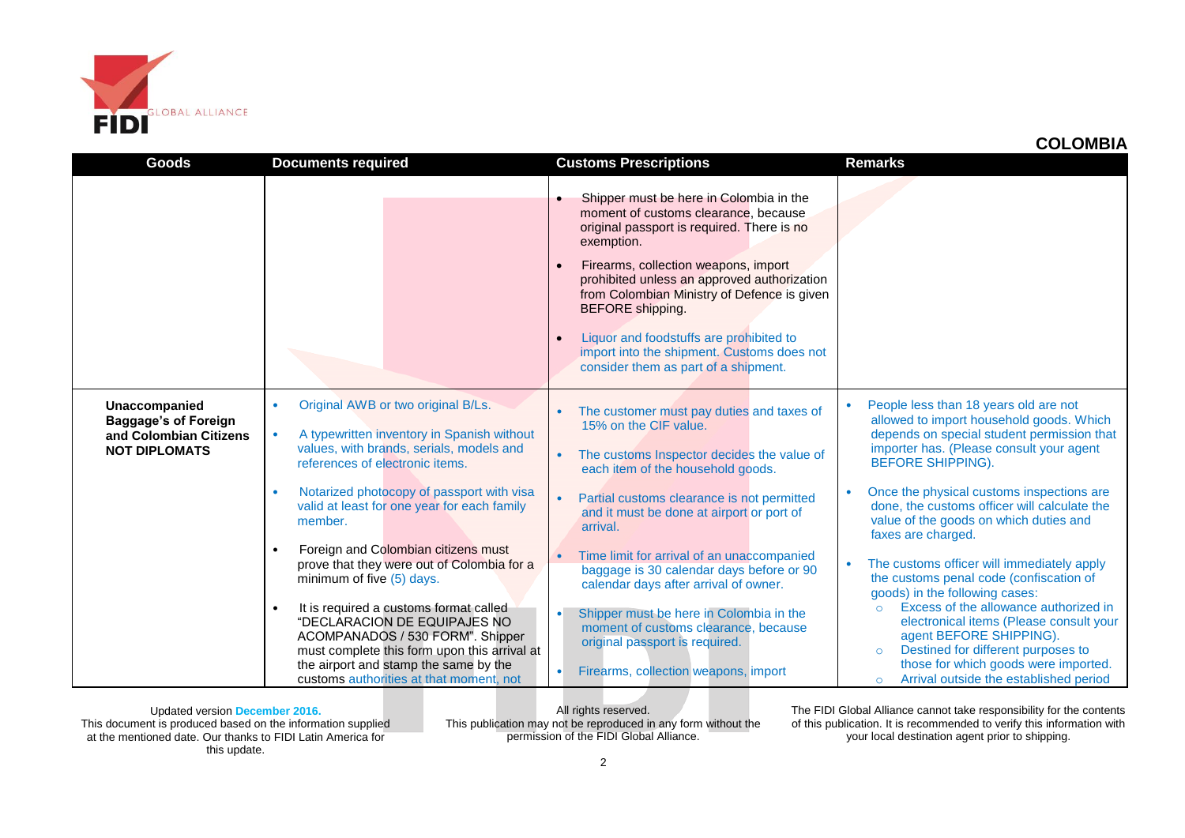

| Goods                                                                                          | <b>Documents required</b>                                                                                                                                                                                                                                                                                                                                                                                                                                                                                                                                                                                                                                                                        | <b>Customs Prescriptions</b>                                                                                                                                                                                                                                                                                                                                                                                                                                                                                                                                 | <b>Remarks</b>                                                                                                                                                                                                                                                                                                                                                                                                                                                                                                                                                                                                                                                                                                                                                          |
|------------------------------------------------------------------------------------------------|--------------------------------------------------------------------------------------------------------------------------------------------------------------------------------------------------------------------------------------------------------------------------------------------------------------------------------------------------------------------------------------------------------------------------------------------------------------------------------------------------------------------------------------------------------------------------------------------------------------------------------------------------------------------------------------------------|--------------------------------------------------------------------------------------------------------------------------------------------------------------------------------------------------------------------------------------------------------------------------------------------------------------------------------------------------------------------------------------------------------------------------------------------------------------------------------------------------------------------------------------------------------------|-------------------------------------------------------------------------------------------------------------------------------------------------------------------------------------------------------------------------------------------------------------------------------------------------------------------------------------------------------------------------------------------------------------------------------------------------------------------------------------------------------------------------------------------------------------------------------------------------------------------------------------------------------------------------------------------------------------------------------------------------------------------------|
|                                                                                                |                                                                                                                                                                                                                                                                                                                                                                                                                                                                                                                                                                                                                                                                                                  | Shipper must be here in Colombia in the<br>moment of customs clearance, because<br>original passport is required. There is no<br>exemption.<br>Firearms, collection weapons, import<br>$\bullet$<br>prohibited unless an approved authorization<br>from Colombian Ministry of Defence is given<br>BEFORE shipping.<br>Liquor and foodstuffs are prohibited to<br>$\bullet$<br>import into the shipment. Customs does not<br>consider them as part of a shipment.                                                                                             |                                                                                                                                                                                                                                                                                                                                                                                                                                                                                                                                                                                                                                                                                                                                                                         |
| Unaccompanied<br><b>Baggage's of Foreign</b><br>and Colombian Citizens<br><b>NOT DIPLOMATS</b> | Original AWB or two original B/Ls.<br>$\bullet$<br>A typewritten inventory in Spanish without<br>$\bullet$<br>values, with brands, serials, models and<br>references of electronic items.<br>Notarized photocopy of passport with visa<br>valid at least for one year for each family<br>member.<br>Foreign and Colombian citizens must<br>$\bullet$<br>prove that they were out of Colombia for a<br>minimum of five $(5)$ days.<br>It is required a customs format called<br>$\bullet$<br>"DECLARACION DE EQUIPAJES NO<br>ACOMPANADOS / 530 FORM". Shipper<br>must complete this form upon this arrival at<br>the airport and stamp the same by the<br>customs authorities at that moment, not | The customer must pay duties and taxes of<br>15% on the CIF value.<br>The customs Inspector decides the value of<br>each item of the household goods.<br>Partial customs clearance is not permitted<br>and it must be done at airport or port of<br>arrival.<br>Time limit for arrival of an unaccompanied<br>baggage is 30 calendar days before or 90<br>calendar days after arrival of owner.<br>Shipper must be here in Colombia in the<br>moment of customs clearance, because<br>original passport is required.<br>Firearms, collection weapons, import | People less than 18 years old are not<br>allowed to import household goods. Which<br>depends on special student permission that<br>importer has. (Please consult your agent<br><b>BEFORE SHIPPING).</b><br>Once the physical customs inspections are<br>done, the customs officer will calculate the<br>value of the goods on which duties and<br>faxes are charged.<br>The customs officer will immediately apply<br>the customs penal code (confiscation of<br>goods) in the following cases:<br>Excess of the allowance authorized in<br>$\circ$<br>electronical items (Please consult your<br>agent BEFORE SHIPPING).<br>Destined for different purposes to<br>$\circ$<br>those for which goods were imported.<br>Arrival outside the established period<br>$\circ$ |

Updated version **December 2016.** This document is produced based on the information supplied at the mentioned date. Our thanks to FIDI Latin America for this update.

All rights reserved. This publication may not be reproduced in any form without the permission of the FIDI Global Alliance.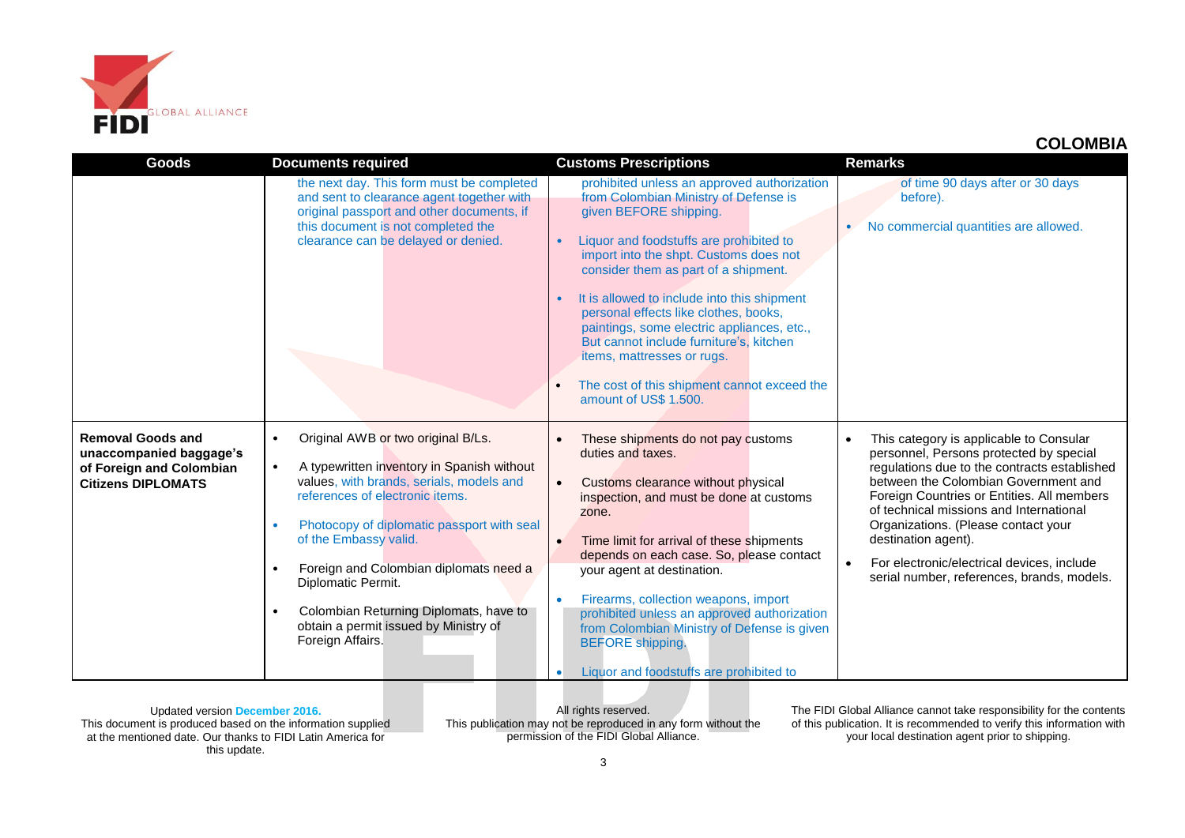

| <b>Goods</b>                                                                                                 | <b>Documents required</b>                                                                                                                                                                                                                                                                                                                                                                                                                            | <b>Customs Prescriptions</b>                                                                                                                                                                                                                                                                                                                                                                                                                                                                                                                          | <b>Remarks</b>                                                                                                                                                                                                                                                                                                                                                                                                                |
|--------------------------------------------------------------------------------------------------------------|------------------------------------------------------------------------------------------------------------------------------------------------------------------------------------------------------------------------------------------------------------------------------------------------------------------------------------------------------------------------------------------------------------------------------------------------------|-------------------------------------------------------------------------------------------------------------------------------------------------------------------------------------------------------------------------------------------------------------------------------------------------------------------------------------------------------------------------------------------------------------------------------------------------------------------------------------------------------------------------------------------------------|-------------------------------------------------------------------------------------------------------------------------------------------------------------------------------------------------------------------------------------------------------------------------------------------------------------------------------------------------------------------------------------------------------------------------------|
|                                                                                                              | the next day. This form must be completed<br>and sent to clearance agent together with<br>original passport and other documents, if<br>this document is not completed the<br>clearance can be delayed or denied.                                                                                                                                                                                                                                     | prohibited unless an approved authorization<br>from Colombian Ministry of Defense is<br>given BEFORE shipping.<br>Liquor and foodstuffs are prohibited to<br>$\bullet$<br>import into the shpt. Customs does not<br>consider them as part of a shipment.<br>It is allowed to include into this shipment<br>personal effects like clothes, books,<br>paintings, some electric appliances, etc.,<br>But cannot include furniture's, kitchen<br>items, mattresses or rugs.<br>The cost of this shipment cannot exceed the<br>amount of US\$ 1.500.       | of time 90 days after or 30 days<br>before).<br>No commercial quantities are allowed.                                                                                                                                                                                                                                                                                                                                         |
| <b>Removal Goods and</b><br>unaccompanied baggage's<br>of Foreign and Colombian<br><b>Citizens DIPLOMATS</b> | Original AWB or two original B/Ls.<br>$\bullet$<br>A typewritten inventory in Spanish without<br>$\bullet$<br>values, with brands, serials, models and<br>references of electronic items.<br>Photocopy of diplomatic passport with seal<br>of the Embassy valid.<br>Foreign and Colombian diplomats need a<br>Diplomatic Permit.<br>Colombian Returning Diplomats, have to<br>$\bullet$<br>obtain a permit issued by Ministry of<br>Foreign Affairs. | These shipments do not pay customs<br>$\bullet$<br>duties and taxes.<br>Customs clearance without physical<br>$\bullet$<br>inspection, and must be done at customs<br>zone.<br>Time limit for arrival of these shipments<br>$\bullet$<br>depends on each case. So, please contact<br>your agent at destination.<br>Firearms, collection weapons, import<br>$\bullet$<br>prohibited unless an approved authorization<br>from Colombian Ministry of Defense is given<br><b>BEFORE</b> shipping.<br>Liquor and foodstuffs are prohibited to<br>$\bullet$ | This category is applicable to Consular<br>personnel, Persons protected by special<br>regulations due to the contracts established<br>between the Colombian Government and<br>Foreign Countries or Entities. All members<br>of technical missions and International<br>Organizations. (Please contact your<br>destination agent).<br>For electronic/electrical devices, include<br>serial number, references, brands, models. |

Updated version **December 2016.** This document is produced based on the information supplied at the mentioned date. Our thanks to FIDI Latin America for this update.

All rights reserved. This publication may not be reproduced in any form without the permission of the FIDI Global Alliance.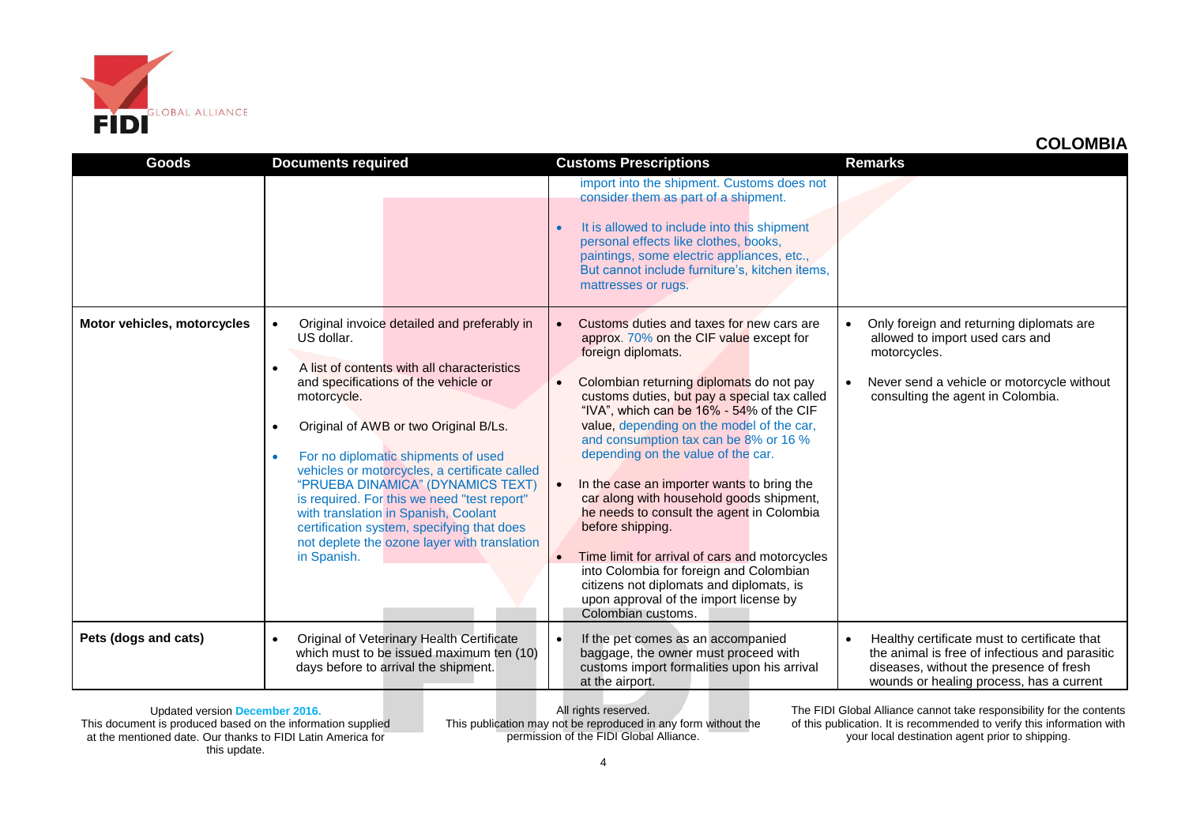

|                             |                                                                                                                                                                                                                                                                                                                                                                                                                                                                                                                                                                                               |                                                                                                                                                                                                                                                                                                                                                                                                                                                                                                                                                                                                                                                                                                                                                    | <b>UULUINIUIA</b>                                                                                                                                                                     |
|-----------------------------|-----------------------------------------------------------------------------------------------------------------------------------------------------------------------------------------------------------------------------------------------------------------------------------------------------------------------------------------------------------------------------------------------------------------------------------------------------------------------------------------------------------------------------------------------------------------------------------------------|----------------------------------------------------------------------------------------------------------------------------------------------------------------------------------------------------------------------------------------------------------------------------------------------------------------------------------------------------------------------------------------------------------------------------------------------------------------------------------------------------------------------------------------------------------------------------------------------------------------------------------------------------------------------------------------------------------------------------------------------------|---------------------------------------------------------------------------------------------------------------------------------------------------------------------------------------|
| Goods                       | <b>Documents required</b>                                                                                                                                                                                                                                                                                                                                                                                                                                                                                                                                                                     | <b>Customs Prescriptions</b>                                                                                                                                                                                                                                                                                                                                                                                                                                                                                                                                                                                                                                                                                                                       | <b>Remarks</b>                                                                                                                                                                        |
|                             |                                                                                                                                                                                                                                                                                                                                                                                                                                                                                                                                                                                               | import into the shipment. Customs does not<br>consider them as part of a shipment.<br>It is allowed to include into this shipment<br>personal effects like clothes, books,<br>paintings, some electric appliances, etc.,<br>But cannot include furniture's, kitchen items,<br>mattresses or rugs.                                                                                                                                                                                                                                                                                                                                                                                                                                                  |                                                                                                                                                                                       |
| Motor vehicles, motorcycles | Original invoice detailed and preferably in<br>$\bullet$<br>US dollar.<br>A list of contents with all characteristics<br>$\bullet$<br>and specifications of the vehicle or<br>motorcycle.<br>Original of AWB or two Original B/Ls.<br>$\bullet$<br>For no diplomatic shipments of used<br>$\bullet$<br>vehicles or motorcycles, a certificate called<br>"PRUEBA DINAMICA" (DYNAMICS TEXT)<br>is required. For this we need "test report"<br>with translation in Spanish, Coolant<br>certification system, specifying that does<br>not deplete the ozone layer with translation<br>in Spanish. | Customs duties and taxes for new cars are<br>approx. 70% on the CIF value except for<br>foreign diplomats.<br>Colombian returning diplomats do not pay<br>customs duties, but pay a special tax called<br>"IVA", which can be 16% - 54% of the CIF<br>value, depending on the model of the car,<br>and consumption tax can be 8% or 16 %<br>depending on the value of the car.<br>In the case an importer wants to bring the<br>car along with household goods shipment,<br>he needs to consult the agent in Colombia<br>before shipping.<br>Time limit for arrival of cars and motorcycles<br>into Colombia for foreign and Colombian<br>citizens not diplomats and diplomats, is<br>upon approval of the import license by<br>Colombian customs. | Only foreign and returning diplomats are<br>allowed to import used cars and<br>motorcycles.<br>Never send a vehicle or motorcycle without<br>consulting the agent in Colombia.        |
| Pets (dogs and cats)        | Original of Veterinary Health Certificate<br>$\bullet$<br>which must to be issued maximum ten (10)<br>days before to arrival the shipment.                                                                                                                                                                                                                                                                                                                                                                                                                                                    | If the pet comes as an accompanied<br>$\bullet$<br>baggage, the owner must proceed with<br>customs import formalities upon his arrival<br>at the airport.                                                                                                                                                                                                                                                                                                                                                                                                                                                                                                                                                                                          | Healthy certificate must to certificate that<br>the animal is free of infectious and parasitic<br>diseases, without the presence of fresh<br>wounds or healing process, has a current |

Updated version **December 2016.** This document is produced based on the information supplied at the mentioned date. Our thanks to FIDI Latin America for this update.

All rights reserved. This publication may not be reproduced in any form without the permission of the FIDI Global Alliance.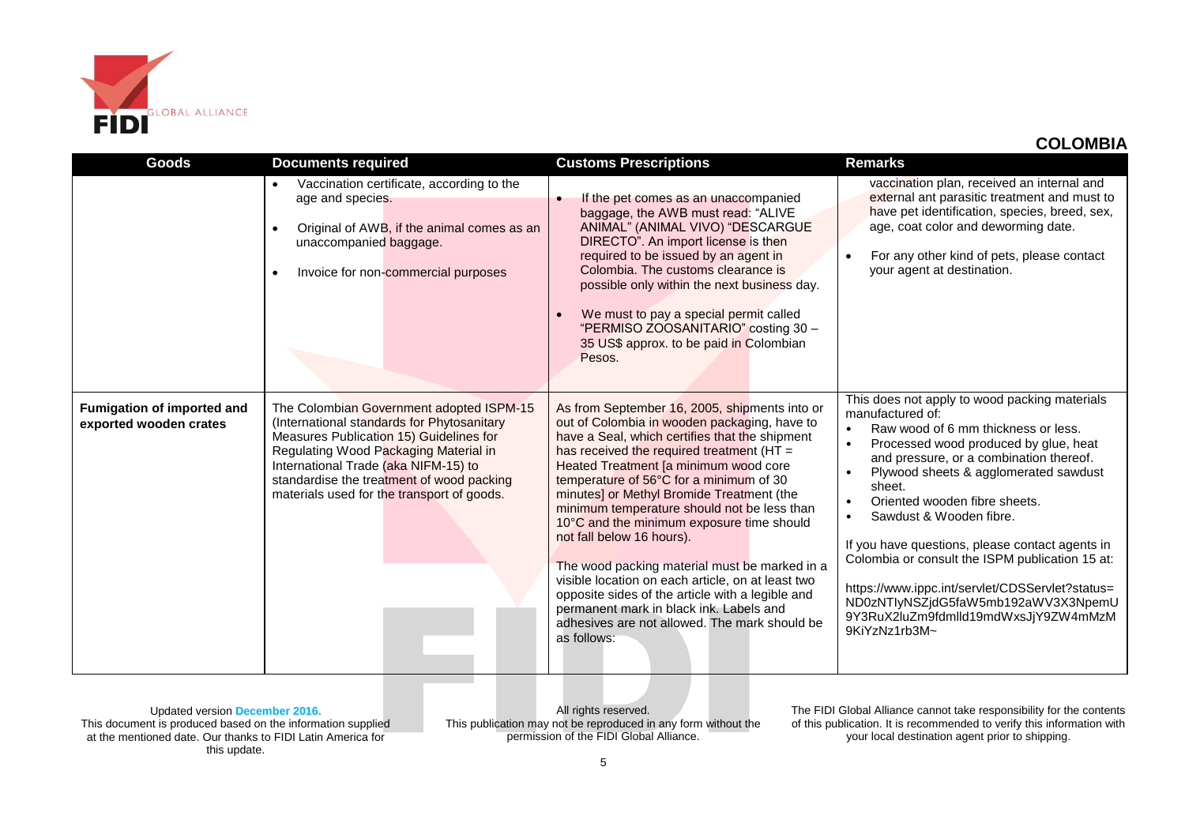

| <b>Goods</b>                                         | <b>Documents required</b>                                                                                                                                                                                                                                                                                     | <b>Customs Prescriptions</b>                                                                                                                                                                                                                                                                                                                                                                                                                                                                                                                                                                                                                                                                                                | <b>Remarks</b>                                                                                                                                                                                                                                                                                                                                                                                                                                                                                                                                                                                 |
|------------------------------------------------------|---------------------------------------------------------------------------------------------------------------------------------------------------------------------------------------------------------------------------------------------------------------------------------------------------------------|-----------------------------------------------------------------------------------------------------------------------------------------------------------------------------------------------------------------------------------------------------------------------------------------------------------------------------------------------------------------------------------------------------------------------------------------------------------------------------------------------------------------------------------------------------------------------------------------------------------------------------------------------------------------------------------------------------------------------------|------------------------------------------------------------------------------------------------------------------------------------------------------------------------------------------------------------------------------------------------------------------------------------------------------------------------------------------------------------------------------------------------------------------------------------------------------------------------------------------------------------------------------------------------------------------------------------------------|
|                                                      | Vaccination certificate, according to the<br>$\bullet$<br>age and species.<br>Original of AWB, if the animal comes as an<br>$\bullet$<br>unaccompanied baggage.<br>Invoice for non-commercial purposes<br>$\bullet$                                                                                           | If the pet comes as an unaccompanied<br>baggage, the AWB must read: "ALIVE<br>ANIMAL" (ANIMAL VIVO) "DESCARGUE<br>DIRECTO". An import license is then<br>required to be issued by an agent in<br>Colombia. The customs clearance is<br>possible only within the next business day.<br>We must to pay a special permit called<br>$\bullet$<br>"PERMISO ZOOSANITARIO" costing 30 -<br>35 US\$ approx. to be paid in Colombian<br>Pesos.                                                                                                                                                                                                                                                                                       | vaccination plan, received an internal and<br>external ant parasitic treatment and must to<br>have pet identification, species, breed, sex,<br>age, coat color and deworming date.<br>For any other kind of pets, please contact<br>your agent at destination.                                                                                                                                                                                                                                                                                                                                 |
| Fumigation of imported and<br>exported wooden crates | The Colombian Government adopted ISPM-15<br>(International standards for Phytosanitary<br>Measures Publication 15) Guidelines for<br>Regulating Wood Packaging Material in<br>International Trade (aka NIFM-15) to<br>standardise the treatment of wood packing<br>materials used for the transport of goods. | As from September 16, 2005, shipments into or<br>out of Colombia in wooden packaging, have to<br>have a Seal, which certifies that the shipment<br>has received the required treatment (HT =<br>Heated Treatment [a minimum wood core<br>temperature of 56°C for a minimum of 30<br>minutes] or Methyl Bromide Treatment (the<br>minimum temperature should not be less than<br>10°C and the minimum exposure time should<br>not fall below 16 hours).<br>The wood packing material must be marked in a<br>visible location on each article, on at least two<br>opposite sides of the article with a legible and<br>permanent mark in black ink. Labels and<br>adhesives are not allowed. The mark should be<br>as follows: | This does not apply to wood packing materials<br>manufactured of:<br>Raw wood of 6 mm thickness or less.<br>$\bullet$<br>Processed wood produced by glue, heat<br>and pressure, or a combination thereof.<br>Plywood sheets & agglomerated sawdust<br>sheet.<br>Oriented wooden fibre sheets.<br>Sawdust & Wooden fibre.<br>$\bullet$<br>If you have questions, please contact agents in<br>Colombia or consult the ISPM publication 15 at:<br>https://www.ippc.int/servlet/CDSServlet?status=<br>ND0zNTlyNSZjdG5faW5mb192aWV3X3NpemU<br>9Y3RuX2luZm9fdmlld19mdWxsJjY9ZW4mMzM<br>9KiYzNz1rb3M~ |

Updated version **December 2016.** This document is produced based on the information supplied at the mentioned date. Our thanks to FIDI Latin America for this update.

All rights reserved. This publication may not be reproduced in any form without the permission of the FIDI Global Alliance.